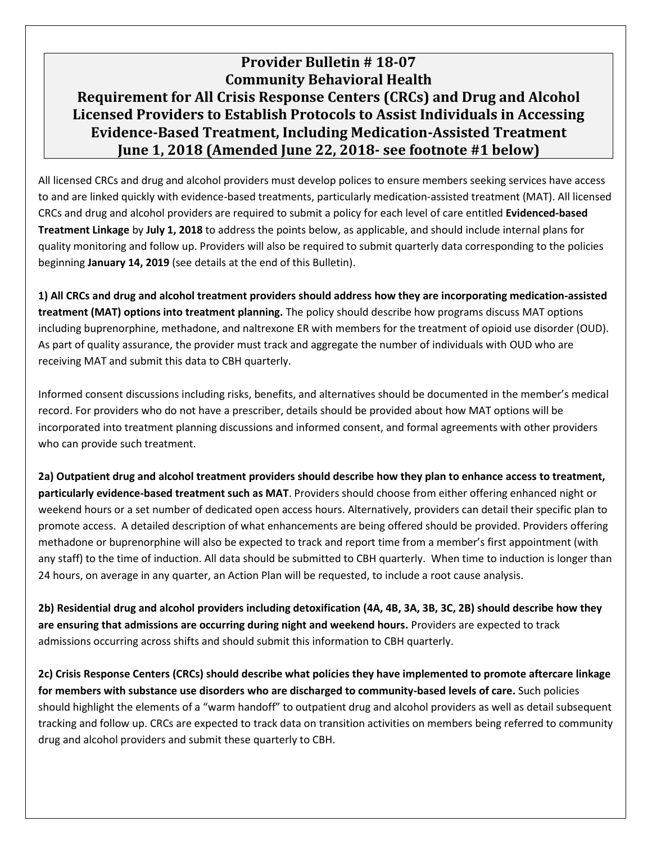## **Provider Bulletin # 18-07 Community Behavioral Health Requirement for All Crisis Response Centers (CRCs) and Drug and Alcohol Licensed Providers to Establish Protocols to Assist Individuals in Accessing Evidence-Based Treatment, Including Medication-Assisted Treatment June 1, 2018 (Amended June 22, 2018- see footnote #1 below)**

All licensed CRCs and drug and alcohol providers must develop polices to ensure members seeking services have access to and are linked quickly with evidence-based treatments, particularly medication-assisted treatment (MAT). All licensed CRCs and drug and alcohol providers are required to submit a policy for each level of care entitled **Evidenced-based Treatment Linkage** by **July 1, 2018** to address the points below, as applicable, and should include internal plans for quality monitoring and follow up. Providers will also be required to submit quarterly data corresponding to the policies beginning **January 14, 2019** (see details at the end of this Bulletin).

**1) All CRCs and drug and alcohol treatment providers should address how they are incorporating medication-assisted treatment (MAT) options into treatment planning.** The policy should describe how programs discuss MAT options including buprenorphine, methadone, and naltrexone ER with members for the treatment of opioid use disorder (OUD). As part of quality assurance, the provider must track and aggregate the number of individuals with OUD who are receiving MAT and submit this data to CBH quarterly.

Informed consent discussions including risks, benefits, and alternatives should be documented in the member's medical record. For providers who do not have a prescriber, details should be provided about how MAT options will be incorporated into treatment planning discussions and informed consent, and formal agreements with other providers who can provide such treatment.

**2a) Outpatient drug and alcohol treatment providers should describe how they plan to enhance access to treatment, particularly evidence-based treatment such as MAT**. Providers should choose from either offering enhanced night or weekend hours or a set number of dedicated open access hours. Alternatively, providers can detail their specific plan to promote access. A detailed description of what enhancements are being offered should be provided. Providers offering methadone or buprenorphine will also be expected to track and report time from a member's first appointment (with any staff) to the time of induction. All data should be submitted to CBH quarterly. When time to induction is longer than 24 hours, on average in any quarter, an Action Plan will be requested, to include a root cause analysis.

**2b) Residential drug and alcohol providers including detoxification (4A, 4B, 3A, 3B, 3C, 2B) should describe how they are ensuring that admissions are occurring during night and weekend hours.** Providers are expected to track admissions occurring across shifts and should submit this information to CBH quarterly.

**2c) Crisis Response Centers (CRCs) should describe what policies they have implemented to promote aftercare linkage for members with substance use disorders who are discharged to community-based levels of care.** Such policies should highlight the elements of a "warm handoff" to outpatient drug and alcohol providers as well as detail subsequent tracking and follow up. CRCs are expected to track data on transition activities on members being referred to community drug and alcohol providers and submit these quarterly to CBH.